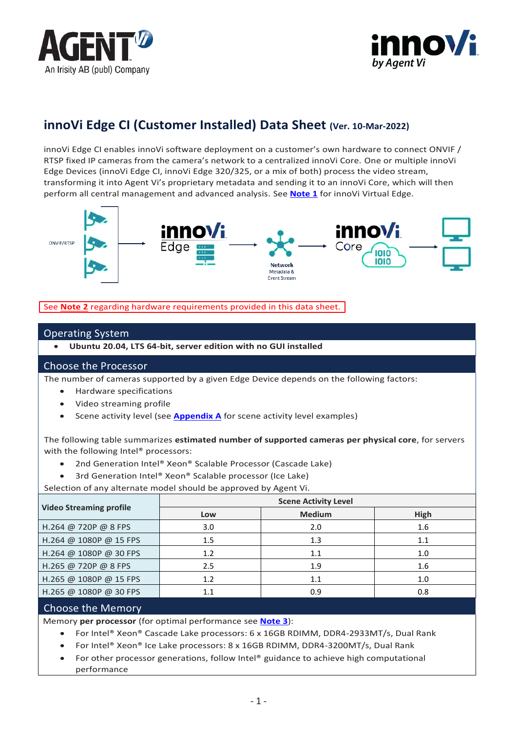



# **innoVi Edge CI (Customer Installed) Data Sheet (Ver. 10-Mar-2022)**

innoVi Edge CI enables innoVi software deployment on a customer's own hardware to connect ONVIF / RTSP fixed IP cameras from the camera's network to a centralized innoVi Core. One or multiple innoVi Edge Devices (innoVi Edge CI, innoVi Edge 320/325, or a mix of both) process the video stream, transforming it into Agent Vi's proprietary metadata and sending it to an innoVi Core, which will then perform all central management and advanced analysis. See **[Note 1](#page-1-0)** for innoVi Virtual Edge.



See **[Note 2](#page-1-1)** regarding hardware requirements provided in this data sheet.

### Operating System

• **Ubuntu 20.04, LTS 64-bit, server edition with no GUI installed**

### Choose the Processor

The number of cameras supported by a given Edge Device depends on the following factors:

- Hardware specifications
- Video streaming profile
- Scene activity level (see **[Appendix A](#page-2-0)** for scene activity level examples)

The following table summarizes **estimated number of supported cameras per physical core**, for servers with the following Intel® processors:

- 2nd Generation Intel® Xeon® Scalable Processor (Cascade Lake)
- 3rd Generation Intel® Xeon® Scalable processor (Ice Lake)

Selection of any alternate model should be approved by Agent Vi.

| <b>Video Streaming profile</b> | <b>Scene Activity Level</b> |               |      |
|--------------------------------|-----------------------------|---------------|------|
|                                | Low                         | <b>Medium</b> | High |
| H.264 @ 720P @ 8 FPS           | 3.0                         | 2.0           | 1.6  |
| H.264 @ 1080P @ 15 FPS         | 1.5                         | 1.3           | 1.1  |
| H.264 @ 1080P @ 30 FPS         | 1.2                         | 1.1           | 1.0  |
| H.265 @ 720P @ 8 FPS           | 2.5                         | 1.9           | 1.6  |
| H.265 @ 1080P @ 15 FPS         | 1.2                         | 1.1           | 1.0  |
| H.265 @ 1080P @ 30 FPS         | 1.1                         | 0.9           | 0.8  |

### Choose the Memory

Memory **per processor** (for optimal performance see **[Note 3](#page-2-1)**):

- For Intel® Xeon® Cascade Lake processors: 6 x 16GB RDIMM, DDR4-2933MT/s, Dual Rank
- For Intel® Xeon® Ice Lake processors: 8 x 16GB RDIMM, DDR4-3200MT/s, Dual Rank
- For other processor generations, follow Intel® guidance to achieve high computational performance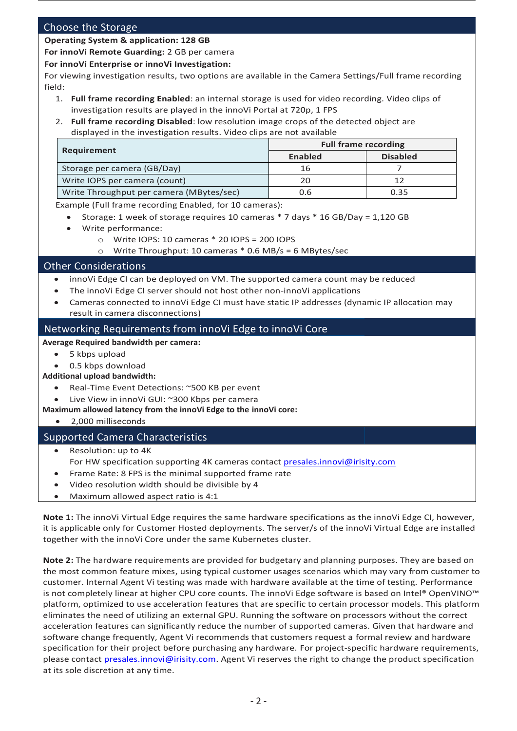### Choose the Storage

#### **Operating System & application: 128 GB**

**For innoVi Remote Guarding:** 2 GB per camera

#### **For innoVi Enterprise or innoVi Investigation:**

For viewing investigation results, two options are available in the Camera Settings/Full frame recording field:

- 1. **Full frame recording Enabled**: an internal storage is used for video recording. Video clips of investigation results are played in the innoVi Portal at 720p, 1 FPS
- 2. **Full frame recording Disabled**: low resolution image crops of the detected object are displayed in the investigation results. Video clips are not available

|                                          | <b>Full frame recording</b> |                 |
|------------------------------------------|-----------------------------|-----------------|
| Requirement                              | <b>Enabled</b>              | <b>Disabled</b> |
| Storage per camera (GB/Day)              | 16                          |                 |
| Write IOPS per camera (count)            | 20                          |                 |
| Write Throughput per camera (MBytes/sec) | 0.6                         | 0.35            |

Example (Full frame recording Enabled, for 10 cameras):

- Storage: 1 week of storage requires 10 cameras \* 7 days \* 16 GB/Day = 1,120 GB
- Write performance:
	- o Write IOPS: 10 cameras \* 20 IOPS = 200 IOPS
		- o Write Throughput: 10 cameras \* 0.6 MB/s = 6 MBytes/sec

### Other Considerations

- innoVi Edge CI can be deployed on VM. The supported camera count may be reduced
- The innoVi Edge CI server should not host other non-innoVi applications
- Cameras connected to innoVi Edge CI must have static IP addresses (dynamic IP allocation may result in camera disconnections)

### Networking Requirements from innoVi Edge to innoVi Core

#### **Average Required bandwidth per camera:**

- 5 kbps upload
- 0.5 kbps download
- **Additional upload bandwidth:**
	- Real-Time Event Detections: ~500 KB per event
	- Live View in innoVi GUI: ~300 Kbps per camera
- **Maximum allowed latency from the innoVi Edge to the innoVi core:**

### • 2,000 milliseconds

### Supported Camera Characteristics

- Resolution: up to 4K
- For HW specification supporting 4K cameras contact [presales.innovi@irisity.com](mailto:presales.innovi@irisity.com)
- Frame Rate: 8 FPS is the minimal supported frame rate
- Video resolution width should be divisible by 4
- Maximum allowed aspect ratio is 4:1

<span id="page-1-0"></span>**Note 1:** The innoVi Virtual Edge requires the same hardware specifications as the innoVi Edge CI, however, it is applicable only for Customer Hosted deployments. The server/s of the innoVi Virtual Edge are installed together with the innoVi Core under the same Kubernetes cluster.

<span id="page-1-1"></span>**Note 2:** The hardware requirements are provided for budgetary and planning purposes. They are based on the most common feature mixes, using typical customer usages scenarios which may vary from customer to customer. Internal Agent Vi testing was made with hardware available at the time of testing. Performance is not completely linear at higher CPU core counts. The innoVi Edge software is based on Intel® OpenVINO™ platform, optimized to use acceleration features that are specific to certain processor models. This platform eliminates the need of utilizing an external GPU. Running the software on processors without the correct acceleration features can significantly reduce the number of supported cameras. Given that hardware and software change frequently, Agent Vi recommends that customers request a formal review and hardware specification for their project before purchasing any hardware. For project-specific hardware requirements, please contact [presales.innovi@irisity.com.](mailto:presales.innovi@irisity.com) Agent Vi reserves the right to change the product specification at its sole discretion at any time.